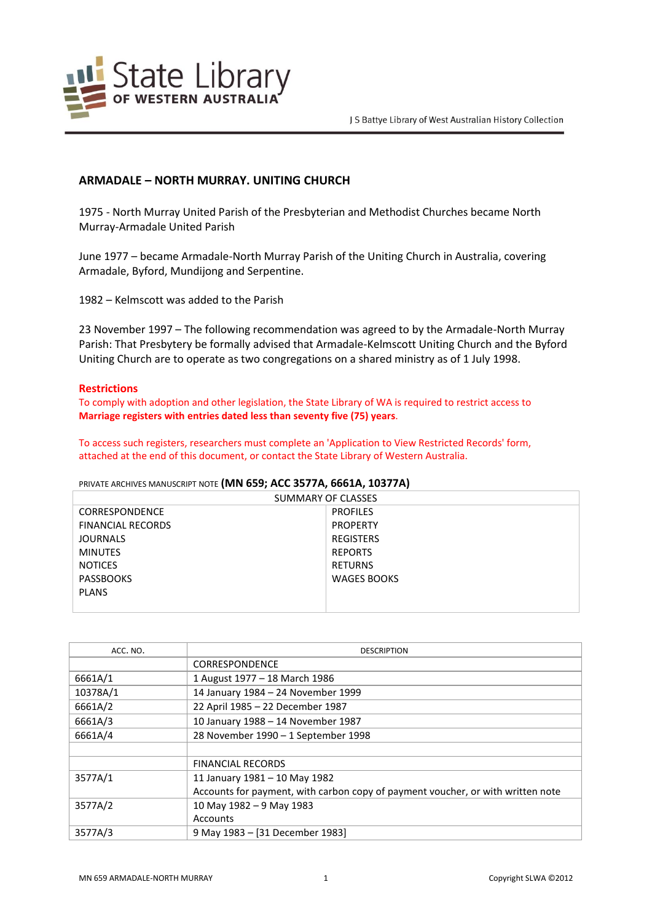

# **ARMADALE – NORTH MURRAY. UNITING CHURCH**

1975 - North Murray United Parish of the Presbyterian and Methodist Churches became North Murray-Armadale United Parish

June 1977 – became Armadale-North Murray Parish of the Uniting Church in Australia, covering Armadale, Byford, Mundijong and Serpentine.

1982 – Kelmscott was added to the Parish

23 November 1997 – The following recommendation was agreed to by the Armadale-North Murray Parish: That Presbytery be formally advised that Armadale-Kelmscott Uniting Church and the Byford Uniting Church are to operate as two congregations on a shared ministry as of 1 July 1998.

## **Restrictions**

To comply with adoption and other legislation, the State Library of WA is required to restrict access to **Marriage registers with entries dated less than seventy five (75) years**.

To access such registers, researchers must complete an 'Application to View Restricted Records' form, attached at the end of this document, or contact the State Library of Western Australia.

## PRIVATE ARCHIVES MANUSCRIPT NOTE **(MN 659; ACC 3577A, 6661A, 10377A)**

| SUMMARY OF CLASSES       |                    |  |
|--------------------------|--------------------|--|
| <b>CORRESPONDENCE</b>    | <b>PROFILES</b>    |  |
| <b>FINANCIAL RECORDS</b> | <b>PROPERTY</b>    |  |
| <b>JOURNALS</b>          | REGISTERS          |  |
| <b>MINUTES</b>           | <b>REPORTS</b>     |  |
| <b>NOTICES</b>           | RETURNS            |  |
| <b>PASSBOOKS</b>         | <b>WAGES BOOKS</b> |  |
| <b>PLANS</b>             |                    |  |
|                          |                    |  |

| ACC. NO. | <b>DESCRIPTION</b>                                                              |
|----------|---------------------------------------------------------------------------------|
|          | CORRESPONDENCE                                                                  |
| 6661A/1  | 1 August 1977 - 18 March 1986                                                   |
| 10378A/1 | 14 January 1984 - 24 November 1999                                              |
| 6661A/2  | 22 April 1985 - 22 December 1987                                                |
| 6661A/3  | 10 January 1988 - 14 November 1987                                              |
| 6661A/4  | 28 November 1990 - 1 September 1998                                             |
|          |                                                                                 |
|          | <b>FINANCIAL RECORDS</b>                                                        |
| 3577A/1  | 11 January 1981 - 10 May 1982                                                   |
|          | Accounts for payment, with carbon copy of payment voucher, or with written note |
| 3577A/2  | 10 May 1982 - 9 May 1983                                                        |
|          | Accounts                                                                        |
| 3577A/3  | 9 May 1983 - [31 December 1983]                                                 |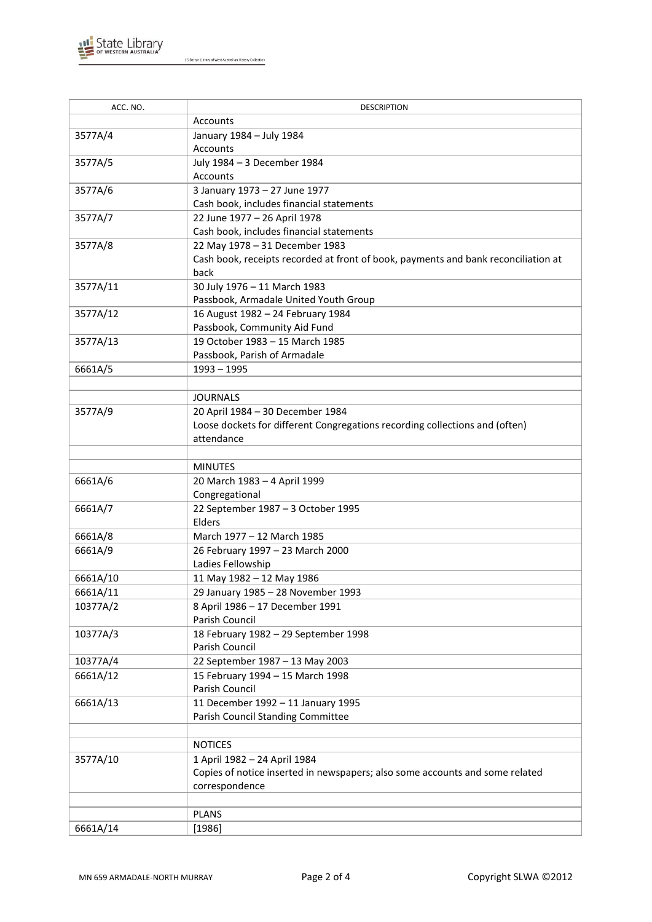

J S Battye Library of West Australian History Collection

| ACC. NO. | <b>DESCRIPTION</b>                                                                 |
|----------|------------------------------------------------------------------------------------|
|          | Accounts                                                                           |
| 3577A/4  | January 1984 - July 1984                                                           |
|          | Accounts                                                                           |
| 3577A/5  | July 1984 - 3 December 1984                                                        |
|          | Accounts                                                                           |
| 3577A/6  | 3 January 1973 - 27 June 1977                                                      |
|          | Cash book, includes financial statements                                           |
| 3577A/7  | 22 June 1977 - 26 April 1978                                                       |
|          | Cash book, includes financial statements                                           |
| 3577A/8  | 22 May 1978 - 31 December 1983                                                     |
|          | Cash book, receipts recorded at front of book, payments and bank reconciliation at |
|          | back                                                                               |
| 3577A/11 | 30 July 1976 - 11 March 1983                                                       |
|          | Passbook, Armadale United Youth Group                                              |
| 3577A/12 | 16 August 1982 - 24 February 1984                                                  |
|          | Passbook, Community Aid Fund                                                       |
| 3577A/13 | 19 October 1983 - 15 March 1985                                                    |
|          | Passbook, Parish of Armadale                                                       |
| 6661A/5  | $1993 - 1995$                                                                      |
|          |                                                                                    |
|          | <b>JOURNALS</b>                                                                    |
| 3577A/9  | 20 April 1984 - 30 December 1984                                                   |
|          | Loose dockets for different Congregations recording collections and (often)        |
|          | attendance                                                                         |
|          |                                                                                    |
|          | <b>MINUTES</b>                                                                     |
| 6661A/6  | 20 March 1983 - 4 April 1999                                                       |
|          | Congregational                                                                     |
| 6661A/7  | 22 September 1987 - 3 October 1995<br>Elders                                       |
| 6661A/8  | March 1977 - 12 March 1985                                                         |
| 6661A/9  | 26 February 1997 - 23 March 2000                                                   |
|          | Ladies Fellowship                                                                  |
| 6661A/10 | 11 May 1982 - 12 May 1986                                                          |
| 6661A/11 | 29 January 1985 - 28 November 1993                                                 |
| 10377A/2 | 8 April 1986 - 17 December 1991                                                    |
|          | Parish Council                                                                     |
| 10377A/3 | 18 February 1982 - 29 September 1998                                               |
|          | Parish Council                                                                     |
| 10377A/4 | 22 September 1987 - 13 May 2003                                                    |
| 6661A/12 | 15 February 1994 - 15 March 1998                                                   |
|          | Parish Council                                                                     |
| 6661A/13 | 11 December 1992 - 11 January 1995                                                 |
|          | Parish Council Standing Committee                                                  |
|          |                                                                                    |
|          | <b>NOTICES</b>                                                                     |
| 3577A/10 | 1 April 1982 - 24 April 1984                                                       |
|          | Copies of notice inserted in newspapers; also some accounts and some related       |
|          | correspondence                                                                     |
|          |                                                                                    |
|          | <b>PLANS</b>                                                                       |
| 6661A/14 | [1986]                                                                             |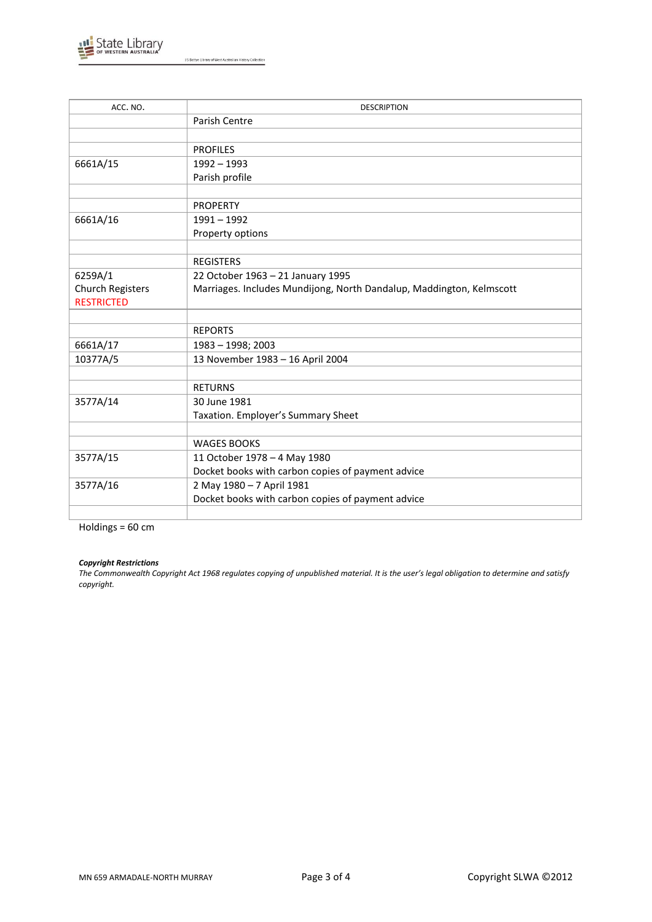

J S Battye Library of West Australian History Collection

| ACC. NO.                | <b>DESCRIPTION</b>                                                   |
|-------------------------|----------------------------------------------------------------------|
|                         | Parish Centre                                                        |
|                         |                                                                      |
|                         | <b>PROFILES</b>                                                      |
| 6661A/15                | $1992 - 1993$                                                        |
|                         | Parish profile                                                       |
|                         |                                                                      |
|                         | <b>PROPERTY</b>                                                      |
| 6661A/16                | $1991 - 1992$                                                        |
|                         | Property options                                                     |
|                         |                                                                      |
|                         | <b>REGISTERS</b>                                                     |
| 6259A/1                 | 22 October 1963 - 21 January 1995                                    |
| <b>Church Registers</b> | Marriages. Includes Mundijong, North Dandalup, Maddington, Kelmscott |
| <b>RESTRICTED</b>       |                                                                      |
|                         |                                                                      |
|                         | <b>REPORTS</b>                                                       |
| 6661A/17                | 1983 - 1998; 2003                                                    |
| 10377A/5                | 13 November 1983 - 16 April 2004                                     |
|                         |                                                                      |
|                         | <b>RETURNS</b>                                                       |
| 3577A/14                | 30 June 1981                                                         |
|                         | Taxation. Employer's Summary Sheet                                   |
|                         |                                                                      |
|                         | <b>WAGES BOOKS</b>                                                   |
| 3577A/15                | 11 October 1978 - 4 May 1980                                         |
|                         | Docket books with carbon copies of payment advice                    |
| 3577A/16                | 2 May 1980 - 7 April 1981                                            |
|                         | Docket books with carbon copies of payment advice                    |
|                         |                                                                      |

Holdings =  $60 \text{ cm}$ 

#### *Copyright Restrictions*

*The Commonwealth Copyright Act 1968 regulates copying of unpublished material. It is the user's legal obligation to determine and satisfy copyright.*